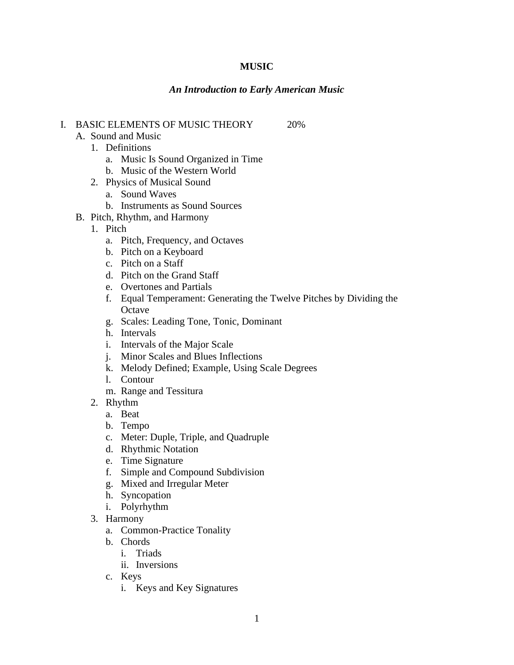# **MUSIC**

## *An Introduction to Early American Music*

# I. BASIC ELEMENTS OF MUSIC THEORY 20%

- A. Sound and Music 1. Definitions
	- a. Music Is Sound Organized in Time
	- b. Music of the Western World
	- 2. Physics of Musical Sound
		- a. Sound Waves
		- b. Instruments as Sound Sources
- B. Pitch, Rhythm, and Harmony
	- 1. Pitch
		- a. Pitch, Frequency, and Octaves
		- b. Pitch on a Keyboard
		- c. Pitch on a Staff
		- d. Pitch on the Grand Staff
		- e. Overtones and Partials
		- f. Equal Temperament: Generating the Twelve Pitches by Dividing the **Octave**
		- g. Scales: Leading Tone, Tonic, Dominant
		- h. Intervals
		- i. Intervals of the Major Scale
		- j. Minor Scales and Blues Inflections
		- k. Melody Defined; Example, Using Scale Degrees
		- l. Contour
		- m. Range and Tessitura
	- 2. Rhythm
		- a. Beat
		- b. Tempo
		- c. Meter: Duple, Triple, and Quadruple
		- d. Rhythmic Notation
		- e. Time Signature
		- f. Simple and Compound Subdivision
		- g. Mixed and Irregular Meter
		- h. Syncopation
		- i. Polyrhythm
	- 3. Harmony
		- a. Common-Practice Tonality
		- b. Chords
			- i. Triads
			- ii. Inversions
		- c. Keys
			- i. Keys and Key Signatures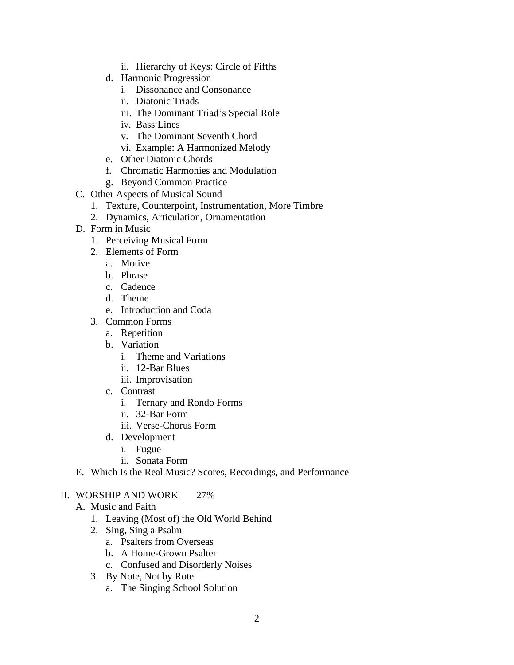- ii. Hierarchy of Keys: Circle of Fifths
- d. Harmonic Progression
	- i. Dissonance and Consonance
	- ii. Diatonic Triads
	- iii. The Dominant Triad's Special Role
	- iv. Bass Lines
	- v. The Dominant Seventh Chord
	- vi. Example: A Harmonized Melody
- e. Other Diatonic Chords
- f. Chromatic Harmonies and Modulation
- g. Beyond Common Practice
- C. Other Aspects of Musical Sound
	- 1. Texture, Counterpoint, Instrumentation, More Timbre
	- 2. Dynamics, Articulation, Ornamentation
- D. Form in Music
	- 1. Perceiving Musical Form
	- 2. Elements of Form
		- a. Motive
		- b. Phrase
		- c. Cadence
		- d. Theme
		- e. Introduction and Coda
	- 3. Common Forms
		- a. Repetition
		- b. Variation
			- i. Theme and Variations
			- ii. 12-Bar Blues
			- iii. Improvisation
		- c. Contrast
			- i. Ternary and Rondo Forms
			- ii. 32-Bar Form
			- iii. Verse-Chorus Form
		- d. Development
			- i. Fugue
			- ii. Sonata Form
- E. Which Is the Real Music? Scores, Recordings, and Performance

### II. WORSHIP AND WORK 27%

- A. Music and Faith
	- 1. Leaving (Most of) the Old World Behind
	- 2. Sing, Sing a Psalm
		- a. Psalters from Overseas
		- b. A Home-Grown Psalter
		- c. Confused and Disorderly Noises
	- 3. By Note, Not by Rote
		- a. The Singing School Solution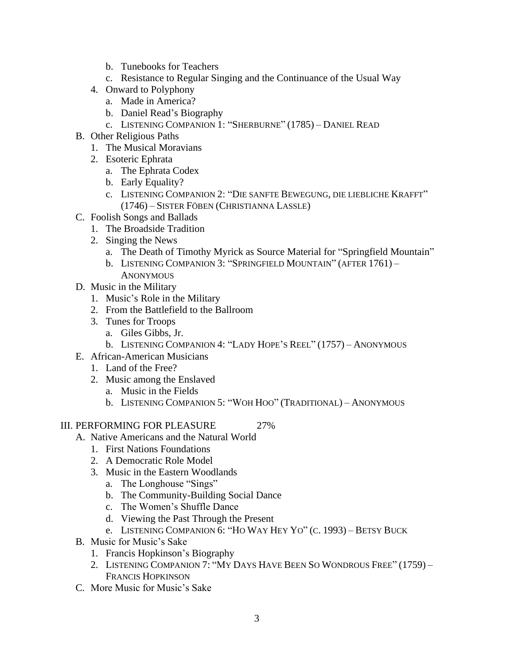- b. Tunebooks for Teachers
- c. Resistance to Regular Singing and the Continuance of the Usual Way
- 4. Onward to Polyphony
	- a. Made in America?
	- b. Daniel Read's Biography
	- c. LISTENING COMPANION 1: "SHERBURNE" (1785) DANIEL READ
- B. Other Religious Paths
	- 1. The Musical Moravians
	- 2. Esoteric Ephrata
		- a. The Ephrata Codex
		- b. Early Equality?
		- c. LISTENING COMPANION 2: "DIE SANFTE BEWEGUNG, DIE LIEBLICHE KRAFFT" (1746) – SISTER FÖBEN (CHRISTIANNA LASSLE)
- C. Foolish Songs and Ballads
	- 1. The Broadside Tradition
	- 2. Singing the News
		- a. The Death of Timothy Myrick as Source Material for "Springfield Mountain"
		- b. LISTENING COMPANION 3: "SPRINGFIELD MOUNTAIN" (AFTER 1761) **ANONYMOUS**
- D. Music in the Military
	- 1. Music's Role in the Military
	- 2. From the Battlefield to the Ballroom
	- 3. Tunes for Troops
		- a. Giles Gibbs, Jr.
		- b. LISTENING COMPANION 4: "LADY HOPE'S REEL" (1757) ANONYMOUS
- E. African-American Musicians
	- 1. Land of the Free?
	- 2. Music among the Enslaved
		- a. Music in the Fields
		- b. LISTENING COMPANION 5: "WOH HOO" (TRADITIONAL) ANONYMOUS

### III. PERFORMING FOR PLEASURE 27%

- A. Native Americans and the Natural World
	- 1. First Nations Foundations
	- 2. A Democratic Role Model
	- 3. Music in the Eastern Woodlands
		- a. The Longhouse "Sings"
		- b. The Community-Building Social Dance
		- c. The Women's Shuffle Dance
		- d. Viewing the Past Through the Present
		- e. LISTENING COMPANION 6: "HO WAY HEY YO" (C. 1993) BETSY BUCK
- B. Music for Music's Sake
	- 1. Francis Hopkinson's Biography
	- 2. LISTENING COMPANION 7: "MY DAYS HAVE BEEN SO WONDROUS FREE" (1759) FRANCIS HOPKINSON
- C. More Music for Music's Sake